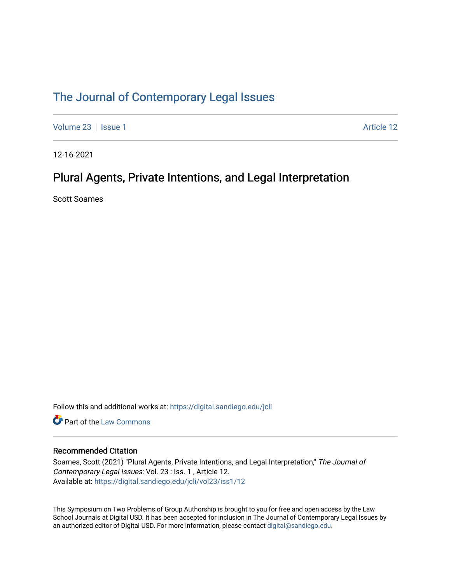### [The Journal of Contemporary Legal Issues](https://digital.sandiego.edu/jcli)

[Volume 23](https://digital.sandiego.edu/jcli/vol23) | [Issue 1](https://digital.sandiego.edu/jcli/vol23/iss1) Article 12

12-16-2021

# Plural Agents, Private Intentions, and Legal Interpretation

Scott Soames

Follow this and additional works at: [https://digital.sandiego.edu/jcli](https://digital.sandiego.edu/jcli?utm_source=digital.sandiego.edu%2Fjcli%2Fvol23%2Fiss1%2F12&utm_medium=PDF&utm_campaign=PDFCoverPages) 

**C** Part of the [Law Commons](http://network.bepress.com/hgg/discipline/578?utm_source=digital.sandiego.edu%2Fjcli%2Fvol23%2Fiss1%2F12&utm_medium=PDF&utm_campaign=PDFCoverPages)

### Recommended Citation

Soames, Scott (2021) "Plural Agents, Private Intentions, and Legal Interpretation," The Journal of Contemporary Legal Issues: Vol. 23 : Iss. 1 , Article 12. Available at: [https://digital.sandiego.edu/jcli/vol23/iss1/12](https://digital.sandiego.edu/jcli/vol23/iss1/12?utm_source=digital.sandiego.edu%2Fjcli%2Fvol23%2Fiss1%2F12&utm_medium=PDF&utm_campaign=PDFCoverPages) 

This Symposium on Two Problems of Group Authorship is brought to you for free and open access by the Law School Journals at Digital USD. It has been accepted for inclusion in The Journal of Contemporary Legal Issues by an authorized editor of Digital USD. For more information, please contact [digital@sandiego.edu](mailto:digital@sandiego.edu).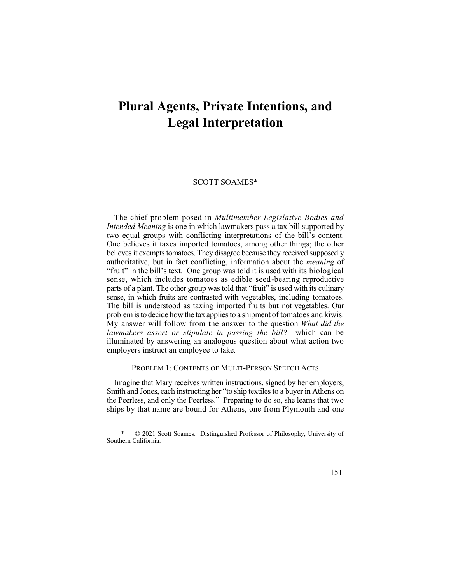# **Plural Agents, Private Intentions, and Legal Interpretation**

### SCOTT SOAMES\*

 The chief problem posed in *Multimember Legislative Bodies and Intended Meaning* is one in which lawmakers pass a tax bill supported by two equal groups with conflicting interpretations of the bill's content. One believes it taxes imported tomatoes, among other things; the other believes it exempts tomatoes. They disagree because they received supposedly authoritative, but in fact conflicting, information about the *meaning* of "fruit" in the bill's text. One group was told it is used with its biological sense, which includes tomatoes as edible seed-bearing reproductive parts of a plant. The other group was told that "fruit" is used with its culinary sense, in which fruits are contrasted with vegetables, including tomatoes. The bill is understood as taxing imported fruits but not vegetables. Our problem is to decide how the tax applies to a shipment of tomatoes and kiwis. My answer will follow from the answer to the question *What did the*  lawmakers assert or stipulate in passing the bill?—which can be illuminated by answering an analogous question about what action two employers instruct an employee to take.

### PROBLEM 1: CONTENTS OF MULTI-PERSON SPEECH ACTS

Smith and Jones, each instructing her "to ship textiles to a buyer in Athens on the Peerless, and only the Peerless." Preparing to do so, she learns that two ships by that name are bound for Athens, one from Plymouth and one Imagine that Mary receives written instructions, signed by her employers,

 \* © 2021 Scott Soames. Distinguished Professor of Philosophy, University of Southern California.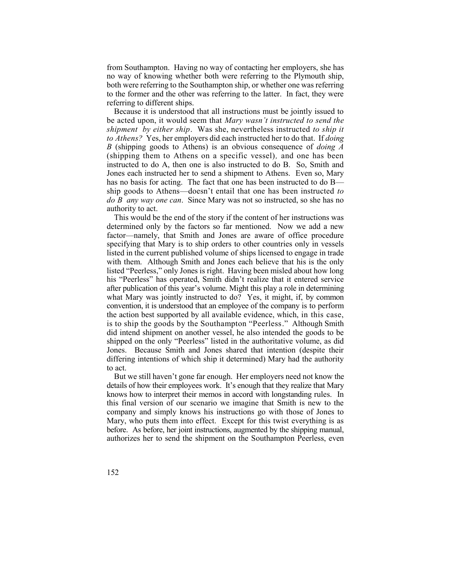no way of knowing whether both were referring to the Plymouth ship, both were referring to the Southampton ship, or whether one was referring to the former and the other was referring to the latter. In fact, they were from Southampton. Having no way of contacting her employers, she has referring to different ships.

 Because it is understood that all instructions must be jointly issued to be acted upon, it would seem that *Mary wasn't instructed to send the shipment by either ship*. Was she, nevertheless instructed *to ship it to Athens?* Yes, her employers did each instructed her to do that. If *doing*  (shipping them to Athens on a specific vessel)*,* and one has been instructed to do A, then one is also instructed to do B. So, Smith and Jones each instructed her to send a shipment to Athens. Even so, Mary has no basis for acting. The fact that one has been instructed to do B— ship goods to Athens—doesn't entail that one has been instructed *to do B any way one can*. Since Mary was not so instructed, so she has no *B* (shipping goods to Athens) is an obvious consequence of *doing A*  authority to act.

 This would be the end of the story if the content of her instructions was determined only by the factors so far mentioned. Now we add a new factor—namely, that Smith and Jones are aware of office procedure specifying that Mary is to ship orders to other countries only in vessels listed in the current published volume of ships licensed to engage in trade with them. Although Smith and Jones each believe that his is the only listed "Peerless," only Jones is right. Having been misled about how long his "Peerless" has operated, Smith didn't realize that it entered service after publication of this year's volume. Might this play a role in determining what Mary was jointly instructed to do? Yes, it might, if, by common the action best supported by all available evidence, which, in this case, is to ship the goods by the Southampton "Peerless." Although Smith did intend shipment on another vessel, he also intended the goods to be shipped on the only "Peerless" listed in the authoritative volume, as did Jones. Because Smith and Jones shared that intention (despite their differing intentions of which ship it determined) Mary had the authority convention, it is understood that an employee of the company is to perform to act.

 But we still haven't gone far enough. Her employers need not know the details of how their employees work. It's enough that they realize that Mary knows how to interpret their memos in accord with longstanding rules. In this final version of our scenario we imagine that Smith is new to the company and simply knows his instructions go with those of Jones to Mary, who puts them into effect. Except for this twist everything is as before. As before, her joint instructions, augmented by the shipping manual, authorizes her to send the shipment on the Southampton Peerless, even

152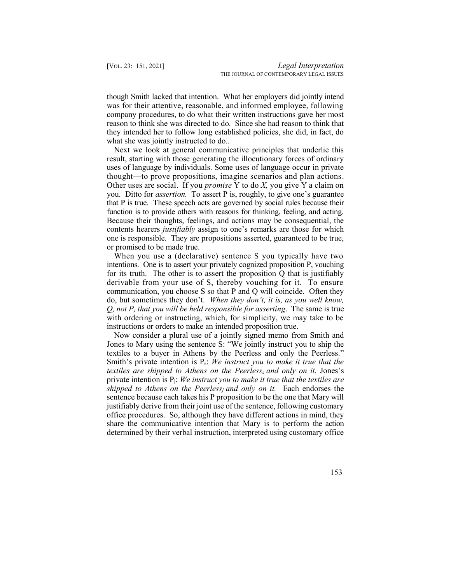though Smith lacked that intention. What her employers did jointly intend was for their attentive, reasonable, and informed employee, following company procedures, to do what their written instructions gave her most they intended her to follow long established policies, she did, in fact, do reason to think she was directed to do. Since she had reason to think that what she was jointly instructed to do...

 Next we look at general communicative principles that underlie this result, starting with those generating the illocutionary forces of ordinary uses of language by individuals. Some uses of language occur in private thought—to prove propositions, imagine scenarios and plan actions. Other uses are social. If you *promise* Y to do *X,* you give Y a claim on you. Ditto for *assertion.* To assert P is, roughly, to give one's guarantee that P is true. These speech acts are governed by social rules because their function is to provide others with reasons for thinking, feeling, and acting. Because their thoughts, feelings, and actions may be consequential, the contents hearers *justifiably* assign to one's remarks are those for which one is responsible*.* They are propositions asserted, guaranteed to be true, or promised to be made true.

 When you use a (declarative) sentence S you typically have two intentions. One is to assert your privately cognized proposition P, vouching for its truth. The other is to assert the proposition Q that is justifiably derivable from your use of S, thereby vouching for it. To ensure communication, you choose S so that P and Q will coincide. Often they do, but sometimes they don't. *When they don't, it is, as you well know, Q, not P, that you will be held responsible for asserting*. The same is true with ordering or instructing, which, for simplicity, we may take to be instructions or orders to make an intended proposition true.

 Now consider a plural use of a jointly signed memo from Smith and  *textiles are shipped to Athens on the Peerlesss and only on it.* Jones's Jones to Mary using the sentence S: "We jointly instruct you to ship the textiles to a buyer in Athens by the Peerless and only the Peerless." Smith's private intention is Ps: *We instruct you to make it true that the*  private intention is Pj: *We instruct you to make it true that the textiles are shipped to Athens on the Peerless<sub>i</sub> and only on it.* Each endorses the sentence because each takes his P proposition to be the one that Mary will justifiably derive from their joint use of the sentence, following customary office procedures. So, although they have different actions in mind, they share the communicative intention that Mary is to perform the action determined by their verbal instruction, interpreted using customary office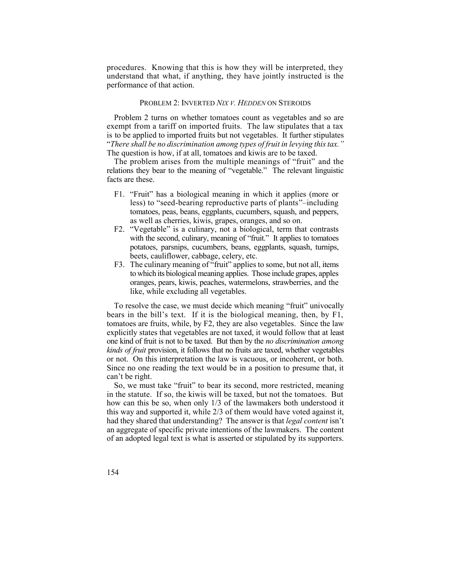procedures. Knowing that this is how they will be interpreted, they understand that what, if anything, they have jointly instructed is the performance of that action.

#### PROBLEM 2: INVERTED *NIX V. HEDDEN* ON STEROIDS

 Problem 2 turns on whether tomatoes count as vegetables and so are exempt from a tariff on imported fruits. The law stipulates that a tax is to be applied to imported fruits but not vegetables. It further stipulates  "*There shall be no discrimination among types of fruit in levying this tax."* The question is how, if at all, tomatoes and kiwis are to be taxed.

 The problem arises from the multiple meanings of "fruit" and the relations they bear to the meaning of "vegetable." The relevant linguistic facts are these.

- less) to "seed-bearing reproductive parts of plants"–including tomatoes, peas, beans, eggplants, cucumbers, squash, and peppers, F1. "Fruit" has a biological meaning in which it applies (more or as well as cherries, kiwis, grapes, oranges, and so on.
- with the second, culinary, meaning of "fruit." It applies to tomatoes potatoes, parsnips, cucumbers, beans, eggplants, squash, turnips, F2. "Vegetable" is a culinary, not a biological, term that contrasts beets, cauliflower, cabbage, celery, etc.
- to which its biological meaning applies. Those include grapes, apples oranges, pears, kiwis, peaches, watermelons, strawberries, and the F3. The culinary meaning of "fruit" applies to some, but not all, items like, while excluding all vegetables.

 bears in the bill's text. If it is the biological meaning, then, by F1, tomatoes are fruits, while, by F2, they are also vegetables. Since the law one kind of fruit is not to be taxed. But then by the *no discrimination among kinds of fruit* provision, it follows that no fruits are taxed, whether vegetables or not. On this interpretation the law is vacuous, or incoherent, or both. Since no one reading the text would be in a position to presume that, it To resolve the case, we must decide which meaning "fruit" univocally explicitly states that vegetables are not taxed, it would follow that at least can't be right.

 So, we must take "fruit" to bear its second, more restricted, meaning in the statute. If so, the kiwis will be taxed, but not the tomatoes. But had they shared that understanding? The answer is that *legal content* isn't an aggregate of specific private intentions of the lawmakers. The content of an adopted legal text is what is asserted or stipulated by its supporters. 154 how can this be so, when only 1/3 of the lawmakers both understood it this way and supported it, while 2/3 of them would have voted against it,

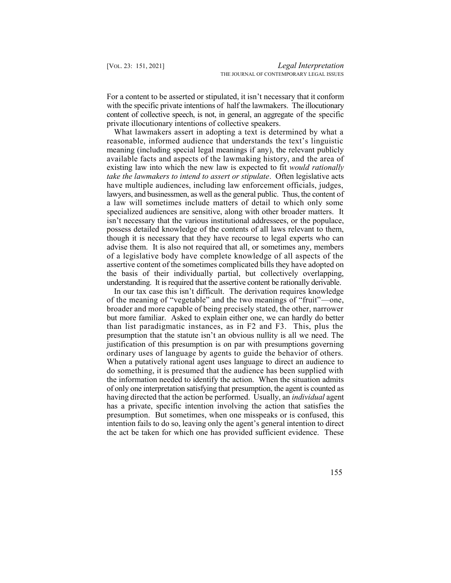For a content to be asserted or stipulated, it isn't necessary that it conform with the specific private intentions of half the lawmakers. The illocutionary content of collective speech, is not, in general, an aggregate of the specific private illocutionary intentions of collective speakers.

 What lawmakers assert in adopting a text is determined by what a reasonable, informed audience that understands the text's linguistic meaning (including special legal meanings if any), the relevant publicly available facts and aspects of the lawmaking history, and the area of  *take the lawmakers to intend to assert or stipulate*. Often legislative acts have multiple audiences, including law enforcement officials, judges, lawyers, and businessmen, as well as the general public. Thus, the content of a law will sometimes include matters of detail to which only some specialized audiences are sensitive, along with other broader matters. It isn't necessary that the various institutional addressees, or the populace, possess detailed knowledge of the contents of all laws relevant to them, though it is necessary that they have recourse to legal experts who can advise them. It is also not required that all, or sometimes any, members of a legislative body have complete knowledge of all aspects of the assertive content of the sometimes complicated bills they have adopted on the basis of their individually partial, but collectively overlapping, understanding. It is required that the assertive content be rationally derivable. existing law into which the new law is expected to fit *would rationally* 

 In our tax case this isn't difficult. The derivation requires knowledge of the meaning of "vegetable" and the two meanings of "fruit"—one, broader and more capable of being precisely stated, the other, narrower but more familiar. Asked to explain either one, we can hardly do better than list paradigmatic instances, as in F2 and F3. This, plus the presumption that the statute isn't an obvious nullity is all we need. The ordinary uses of language by agents to guide the behavior of others. When a putatively rational agent uses language to direct an audience to do something, it is presumed that the audience has been supplied with the information needed to identify the action. When the situation admits of only one interpretation satisfying that presumption, the agent is counted as having directed that the action be performed. Usually, an *individual* agent has a private, specific intention involving the action that satisfies the presumption. But sometimes, when one misspeaks or is confused, this intention fails to do so, leaving only the agent's general intention to direct the act be taken for which one has provided sufficient evidence. These justification of this presumption is on par with presumptions governing